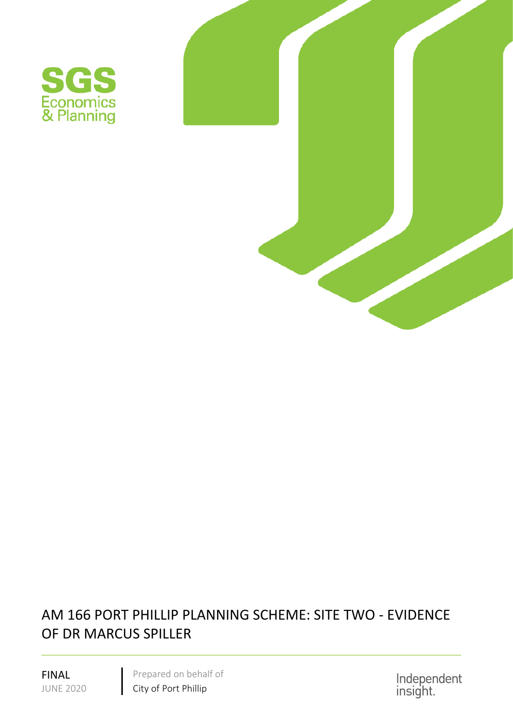



## AM 166 PORT PHILLIP PLANNING SCHEME: SITE TWO - EVIDENCE OF DR MARCUS SPILLER

FINAL Prepared on behalf of JUNE 2020 City of Port Phillip

Independent<br>insight.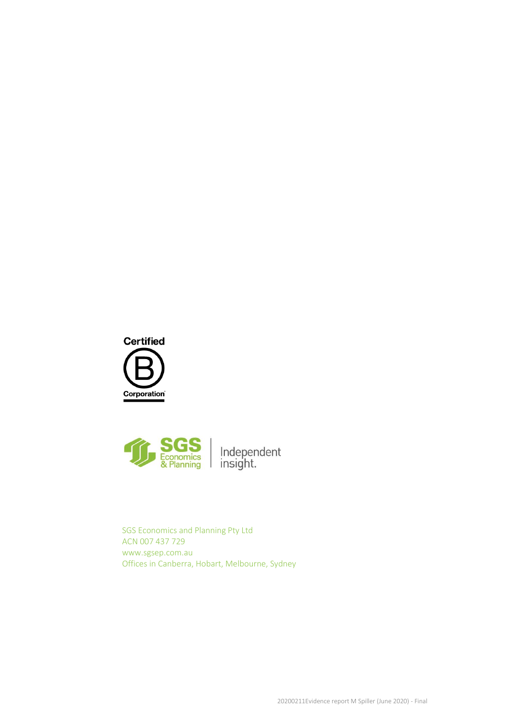



SGS Economics and Planning Pty Ltd ACN 007 437 729 www.sgsep.com.au Offices in Canberra, Hobart, Melbourne, Sydney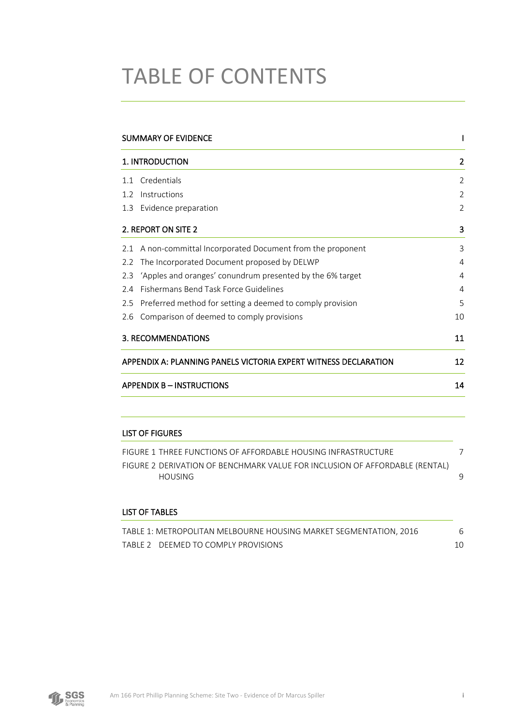# TABLE OF CONTENTS

|               | SUMMARY OF EVIDENCE                                             |                |
|---------------|-----------------------------------------------------------------|----------------|
|               | 1. INTRODUCTION                                                 | 2              |
| 11            | Credentials                                                     | $\overline{2}$ |
| $1.2^{\circ}$ | Instructions                                                    | $\overline{2}$ |
| 1.3           | Evidence preparation                                            | $\overline{2}$ |
|               | 2. REPORT ON SITE 2                                             | 3              |
| 2.1           | A non-committal Incorporated Document from the proponent        | 3              |
| 2.2           | The Incorporated Document proposed by DELWP                     | 4              |
| 2.3           | 'Apples and oranges' conundrum presented by the 6% target       | 4              |
| 2.4           | Fishermans Bend Task Force Guidelines                           | 4              |
| 2.5           | Preferred method for setting a deemed to comply provision       | 5              |
| 2.6           | Comparison of deemed to comply provisions                       | 10             |
|               | 3. RECOMMENDATIONS                                              | 11             |
|               | APPENDIX A: PLANNING PANELS VICTORIA EXPERT WITNESS DECLARATION | 12             |
|               | <b>APPENDIX B-INSTRUCTIONS</b>                                  | 14             |

### LIST OF FIGURES

| FIGURE 1 THREE FUNCTIONS OF AFFORDABLE HOUSING INFRASTRUCTURE                          |  |
|----------------------------------------------------------------------------------------|--|
| FIGURE 2 DERIVATION OF BENCHMARK VALUE FOR INCLUSION OF AFFORDABLE (RENTAL)<br>HOUSING |  |
|                                                                                        |  |
| LIST OF TABLES                                                                         |  |

| TABLE 1: METROPOLITAN MELBOURNE HOUSING MARKET SEGMENTATION. 2016 |  |
|-------------------------------------------------------------------|--|
| TABLE 2 DEEMED TO COMPLY PROVISIONS                               |  |

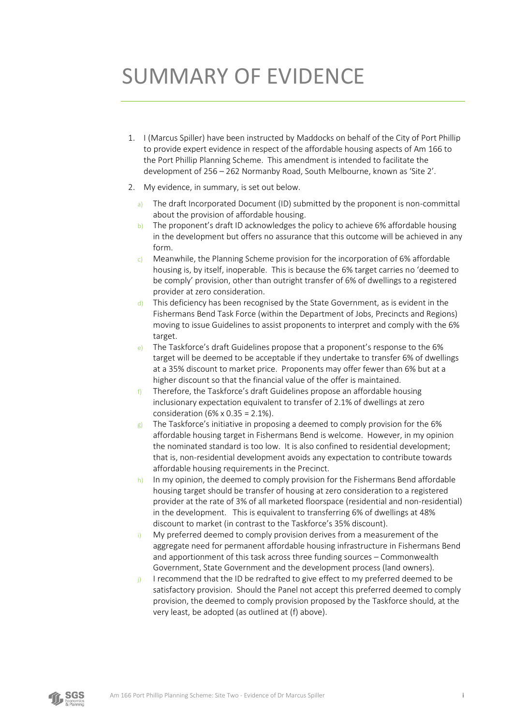## <span id="page-3-0"></span>SUMMARY OF EVIDENCE

- 1. I (Marcus Spiller) have been instructed by Maddocks on behalf of the City of Port Phillip to provide expert evidence in respect of the affordable housing aspects of Am 166 to the Port Phillip Planning Scheme. This amendment is intended to facilitate the development of 256 – 262 Normanby Road, South Melbourne, known as 'Site 2'.
- 2. My evidence, in summary, is set out below.
	- a) The draft Incorporated Document (ID) submitted by the proponent is non-committal about the provision of affordable housing.
	- b) The proponent's draft ID acknowledges the policy to achieve 6% affordable housing in the development but offers no assurance that this outcome will be achieved in any form.
	- c) Meanwhile, the Planning Scheme provision for the incorporation of 6% affordable housing is, by itself, inoperable. This is because the 6% target carries no 'deemed to be comply' provision, other than outright transfer of 6% of dwellings to a registered provider at zero consideration.
	- d) This deficiency has been recognised by the State Government, as is evident in the Fishermans Bend Task Force (within the Department of Jobs, Precincts and Regions) moving to issue Guidelines to assist proponents to interpret and comply with the 6% target.
	- e) The Taskforce's draft Guidelines propose that a proponent's response to the  $6\%$ target will be deemed to be acceptable if they undertake to transfer 6% of dwellings at a 35% discount to market price. Proponents may offer fewer than 6% but at a higher discount so that the financial value of the offer is maintained.
	- f) Therefore, the Taskforce's draft Guidelines propose an affordable housing inclusionary expectation equivalent to transfer of 2.1% of dwellings at zero consideration (6% x 0.35 = 2.1%).
	- $g$ ) The Taskforce's initiative in proposing a deemed to comply provision for the 6% affordable housing target in Fishermans Bend is welcome. However, in my opinion the nominated standard is too low. It is also confined to residential development; that is, non-residential development avoids any expectation to contribute towards affordable housing requirements in the Precinct.
	- h) In my opinion, the deemed to comply provision for the Fishermans Bend affordable housing target should be transfer of housing at zero consideration to a registered provider at the rate of 3% of all marketed floorspace (residential and non-residential) in the development. This is equivalent to transferring 6% of dwellings at 48% discount to market (in contrast to the Taskforce's 35% discount).
	- i) My preferred deemed to comply provision derives from a measurement of the aggregate need for permanent affordable housing infrastructure in Fishermans Bend and apportionment of this task across three funding sources – Commonwealth Government, State Government and the development process (land owners).
	- j) I recommend that the ID be redrafted to give effect to my preferred deemed to be satisfactory provision. Should the Panel not accept this preferred deemed to comply provision, the deemed to comply provision proposed by the Taskforce should, at the very least, be adopted (as outlined at (f) above).

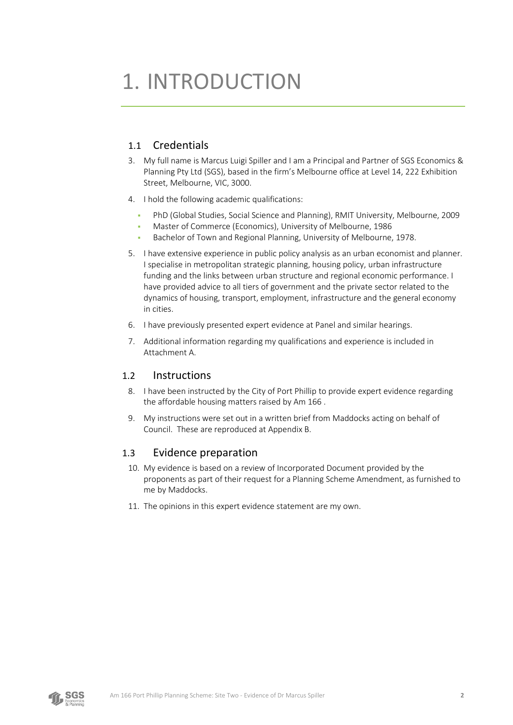## <span id="page-4-0"></span>1. INTRODUCTION

### <span id="page-4-1"></span>1.1 Credentials

- 3. My full name is Marcus Luigi Spiller and I am a Principal and Partner of SGS Economics & Planning Pty Ltd (SGS), based in the firm's Melbourne office at Level 14, 222 Exhibition Street, Melbourne, VIC, 3000.
- 4. I hold the following academic qualifications:
	- PhD (Global Studies, Social Science and Planning), RMIT University, Melbourne, 2009
	- Master of Commerce (Economics), University of Melbourne, 1986
	- Bachelor of Town and Regional Planning, University of Melbourne, 1978.
- 5. I have extensive experience in public policy analysis as an urban economist and planner. I specialise in metropolitan strategic planning, housing policy, urban infrastructure funding and the links between urban structure and regional economic performance. I have provided advice to all tiers of government and the private sector related to the dynamics of housing, transport, employment, infrastructure and the general economy in cities.
- 6. I have previously presented expert evidence at Panel and similar hearings.
- 7. Additional information regarding my qualifications and experience is included in Attachment A.

### <span id="page-4-2"></span>1.2 Instructions

- 8. I have been instructed by the City of Port Phillip to provide expert evidence regarding the affordable housing matters raised by Am 166 .
- 9. My instructions were set out in a written brief from Maddocks acting on behalf of Council. These are reproduced at Appendix B.

### <span id="page-4-3"></span>1.3 Evidence preparation

- 10. My evidence is based on a review of Incorporated Document provided by the proponents as part of their request for a Planning Scheme Amendment, as furnished to me by Maddocks.
- 11. The opinions in this expert evidence statement are my own.

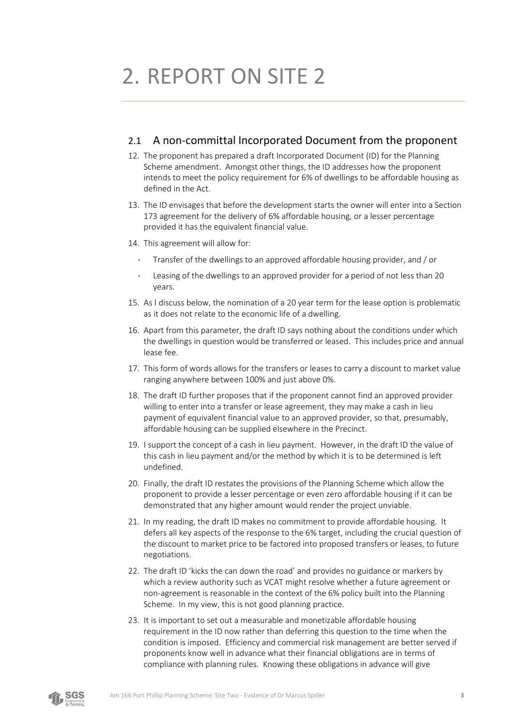# <span id="page-5-0"></span>2. REPORT ON SITE 2

### <span id="page-5-1"></span>2.1 A non-committal Incorporated Document from the proponent

- 12. The proponent has prepared a draft Incorporated Document (ID) for the Planning Scheme amendment. Amongst other things, the ID addresses how the proponent intends to meet the policy requirement for 6% of dwellings to be affordable housing as defined in the Act.
- 13. The ID envisages that before the development starts the owner will enter into a Section 173 agreement for the delivery of 6% affordable housing, or a lesser percentage provided it has the equivalent financial value.
- 14. This agreement will allow for:
	- Transfer of the dwellings to an approved affordable housing provider, and / or
	- Leasing of the dwellings to an approved provider for a period of not less than 20 years.
- 15. As I discuss below, the nomination of a 20 year term for the lease option is problematic as it does not relate to the economic life of a dwelling.
- 16. Apart from this parameter, the draft ID says nothing about the conditions under which the dwellings in question would be transferred or leased. This includes price and annual lease fee.
- 17. This form of words allows for the transfers or leases to carry a discount to market value ranging anywhere between 100% and just above 0%.
- 18. The draft ID further proposes that if the proponent cannot find an approved provider willing to enter into a transfer or lease agreement, they may make a cash in lieu payment of equivalent financial value to an approved provider, so that, presumably, affordable housing can be supplied elsewhere in the Precinct.
- 19. I support the concept of a cash in lieu payment. However, in the draft ID the value of this cash in lieu payment and/or the method by which it is to be determined is left undefined.
- 20. Finally, the draft ID restates the provisions of the Planning Scheme which allow the proponent to provide a lesser percentage or even zero affordable housing if it can be demonstrated that any higher amount would render the project unviable.
- 21. In my reading, the draft ID makes no commitment to provide affordable housing. It defers all key aspects of the response to the 6% target, including the crucial question of the discount to market price to be factored into proposed transfers or leases, to future negotiations.
- 22. The draft ID 'kicks the can down the road' and provides no guidance or markers by which a review authority such as VCAT might resolve whether a future agreement or non-agreement is reasonable in the context of the 6% policy built into the Planning Scheme. In my view, this is not good planning practice.
- 23. It is important to set out a measurable and monetizable affordable housing requirement in the ID now rather than deferring this question to the time when the condition is imposed. Efficiency and commercial risk management are better served if proponents know well in advance what their financial obligations are in terms of compliance with planning rules. Knowing these obligations in advance will give

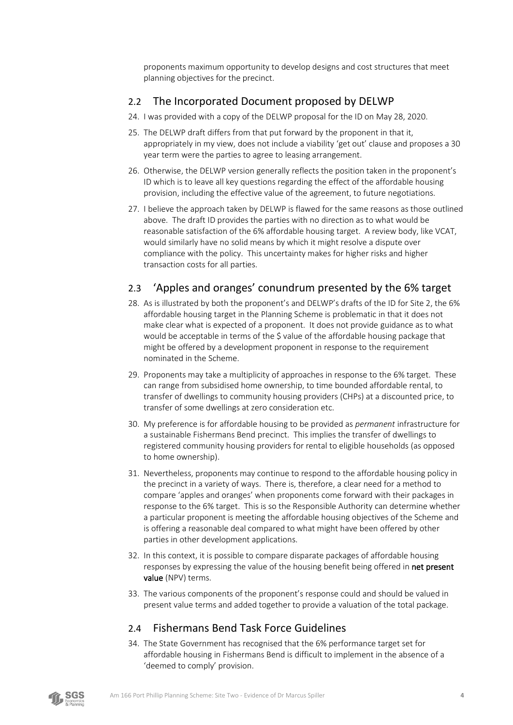proponents maximum opportunity to develop designs and cost structures that meet planning objectives for the precinct.

### <span id="page-6-0"></span>2.2 The Incorporated Document proposed by DELWP

- 24. I was provided with a copy of the DELWP proposal for the ID on May 28, 2020.
- 25. The DELWP draft differs from that put forward by the proponent in that it, appropriately in my view, does not include a viability 'get out' clause and proposes a 30 year term were the parties to agree to leasing arrangement.
- 26. Otherwise, the DELWP version generally reflects the position taken in the proponent's ID which is to leave all key questions regarding the effect of the affordable housing provision, including the effective value of the agreement, to future negotiations.
- 27. I believe the approach taken by DELWP is flawed for the same reasons as those outlined above. The draft ID provides the parties with no direction as to what would be reasonable satisfaction of the 6% affordable housing target. A review body, like VCAT, would similarly have no solid means by which it might resolve a dispute over compliance with the policy. This uncertainty makes for higher risks and higher transaction costs for all parties.

## <span id="page-6-1"></span>2.3 'Apples and oranges' conundrum presented by the 6% target

- <span id="page-6-3"></span>28. As is illustrated by both the proponent's and DELWP's drafts of the ID for Site 2, the 6% affordable housing target in the Planning Scheme is problematic in that it does not make clear what is expected of a proponent. It does not provide guidance as to what would be acceptable in terms of the \$ value of the affordable housing package that might be offered by a development proponent in response to the requirement nominated in the Scheme.
- 29. Proponents may take a multiplicity of approaches in response to the 6% target. These can range from subsidised home ownership, to time bounded affordable rental, to transfer of dwellings to community housing providers (CHPs) at a discounted price, to transfer of some dwellings at zero consideration etc.
- 30. My preference is for affordable housing to be provided as *permanent* infrastructure for a sustainable Fishermans Bend precinct. This implies the transfer of dwellings to registered community housing providers for rental to eligible households (as opposed to home ownership).
- 31. Nevertheless, proponents may continue to respond to the affordable housing policy in the precinct in a variety of ways. There is, therefore, a clear need for a method to compare 'apples and oranges' when proponents come forward with their packages in response to the 6% target. This is so the Responsible Authority can determine whether a particular proponent is meeting the affordable housing objectives of the Scheme and is offering a reasonable deal compared to what might have been offered by other parties in other development applications.
- 32. In this context, it is possible to compare disparate packages of affordable housing responses by expressing the value of the housing benefit being offered in net present value (NPV) terms.
- <span id="page-6-4"></span>33. The various components of the proponent's response could and should be valued in present value terms and added together to provide a valuation of the total package.

## <span id="page-6-2"></span>2.4 Fishermans Bend Task Force Guidelines

34. The State Government has recognised that the 6% performance target set for affordable housing in Fishermans Bend is difficult to implement in the absence of a 'deemed to comply' provision.

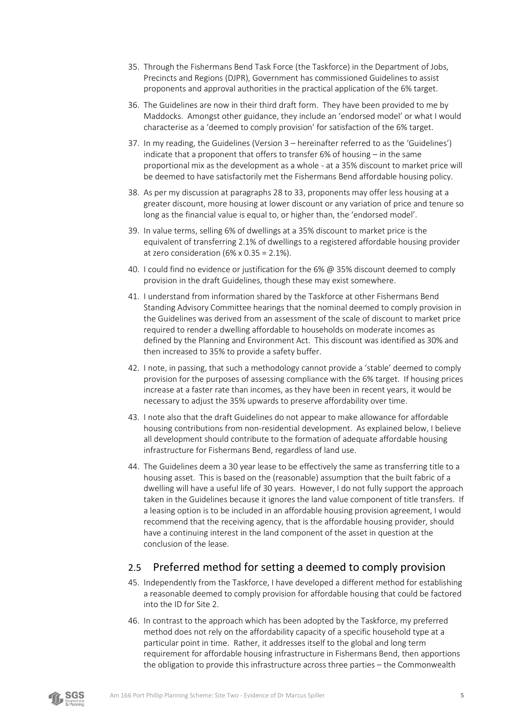- 35. Through the Fishermans Bend Task Force (the Taskforce) in the Department of Jobs, Precincts and Regions (DJPR), Government has commissioned Guidelines to assist proponents and approval authorities in the practical application of the 6% target.
- 36. The Guidelines are now in their third draft form. They have been provided to me by Maddocks. Amongst other guidance, they include an 'endorsed model' or what I would characterise as a 'deemed to comply provision' for satisfaction of the 6% target.
- 37. In my reading, the Guidelines (Version 3 hereinafter referred to as the 'Guidelines') indicate that a proponent that offers to transfer 6% of housing – in the same proportional mix as the development as a whole - at a 35% discount to market price will be deemed to have satisfactorily met the Fishermans Bend affordable housing policy.
- 38. As per my discussion at paragraphs [28](#page-6-3) t[o 33,](#page-6-4) proponents may offer less housing at a greater discount, more housing at lower discount or any variation of price and tenure so long as the financial value is equal to, or higher than, the 'endorsed model'.
- 39. In value terms, selling 6% of dwellings at a 35% discount to market price is the equivalent of transferring 2.1% of dwellings to a registered affordable housing provider at zero consideration  $(6\% \times 0.35 = 2.1\%).$
- 40. I could find no evidence or justification for the 6% @ 35% discount deemed to comply provision in the draft Guidelines, though these may exist somewhere.
- 41. I understand from information shared by the Taskforce at other Fishermans Bend Standing Advisory Committee hearings that the nominal deemed to comply provision in the Guidelines was derived from an assessment of the scale of discount to market price required to render a dwelling affordable to households on moderate incomes as defined by the Planning and Environment Act. This discount was identified as 30% and then increased to 35% to provide a safety buffer.
- 42. I note, in passing, that such a methodology cannot provide a 'stable' deemed to comply provision for the purposes of assessing compliance with the 6% target. If housing prices increase at a faster rate than incomes, as they have been in recent years, it would be necessary to adjust the 35% upwards to preserve affordability over time.
- 43. I note also that the draft Guidelines do not appear to make allowance for affordable housing contributions from non-residential development. As explained below, I believe all development should contribute to the formation of adequate affordable housing infrastructure for Fishermans Bend, regardless of land use.
- 44. The Guidelines deem a 30 year lease to be effectively the same as transferring title to a housing asset. This is based on the (reasonable) assumption that the built fabric of a dwelling will have a useful life of 30 years. However, I do not fully support the approach taken in the Guidelines because it ignores the land value component of title transfers. If a leasing option is to be included in an affordable housing provision agreement, I would recommend that the receiving agency, that is the affordable housing provider, should have a continuing interest in the land component of the asset in question at the conclusion of the lease.

## <span id="page-7-0"></span>2.5 Preferred method for setting a deemed to comply provision

- 45. Independently from the Taskforce, I have developed a different method for establishing a reasonable deemed to comply provision for affordable housing that could be factored into the ID for Site 2.
- 46. In contrast to the approach which has been adopted by the Taskforce, my preferred method does not rely on the affordability capacity of a specific household type at a particular point in time. Rather, it addresses itself to the global and long term requirement for affordable housing infrastructure in Fishermans Bend, then apportions the obligation to provide this infrastructure across three parties – the Commonwealth

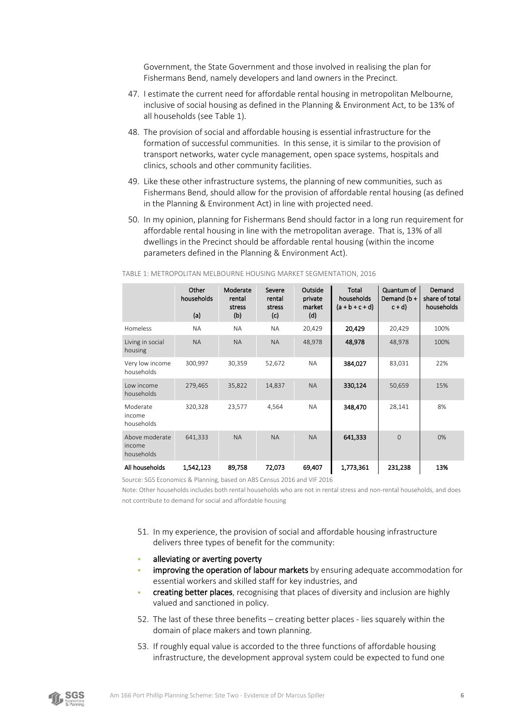Government, the State Government and those involved in realising the plan for Fishermans Bend, namely developers and land owners in the Precinct.

- 47. I estimate the current need for affordable rental housing in metropolitan Melbourne, inclusive of social housing as defined in the Planning & Environment Act, to be 13% of all households (se[e Table 1\)](#page-8-0).
- 48. The provision of social and affordable housing is essential infrastructure for the formation of successful communities. In this sense, it is similar to the provision of transport networks, water cycle management, open space systems, hospitals and clinics, schools and other community facilities.
- 49. Like these other infrastructure systems, the planning of new communities, such as Fishermans Bend, should allow for the provision of affordable rental housing (as defined in the Planning & Environment Act) in line with projected need.
- 50. In my opinion, planning for Fishermans Bend should factor in a long run requirement for affordable rental housing in line with the metropolitan average. That is, 13% of all dwellings in the Precinct should be affordable rental housing (within the income parameters defined in the Planning & Environment Act).

|                                        | Other<br>households<br>(a) | Moderate<br>rental<br>stress<br>(b) | Severe<br>rental<br>stress<br>(c) | Outside<br>private<br>market<br>(d) | <b>Total</b><br>households<br>$(a + b + c + d)$ | Quantum of<br>Demand (b+<br>$c + d$ | Demand<br>share of total<br>households |
|----------------------------------------|----------------------------|-------------------------------------|-----------------------------------|-------------------------------------|-------------------------------------------------|-------------------------------------|----------------------------------------|
| Homeless                               | <b>NA</b>                  | <b>NA</b>                           | <b>NA</b>                         | 20,429                              | 20,429                                          | 20,429                              | 100%                                   |
| Living in social<br>housing            | <b>NA</b>                  | <b>NA</b>                           | <b>NA</b>                         | 48,978                              | 48,978                                          | 48,978                              | 100%                                   |
| Very low income<br>households          | 300,997                    | 30,359                              | 52,672                            | <b>NA</b>                           | 384,027                                         | 83,031                              | 22%                                    |
| Low income<br>households               | 279,465                    | 35,822                              | 14,837                            | <b>NA</b>                           | 330,124                                         | 50,659                              | 15%                                    |
| Moderate<br>income<br>households       | 320,328                    | 23,577                              | 4,564                             | <b>NA</b>                           | 348,470                                         | 28,141                              | 8%                                     |
| Above moderate<br>income<br>households | 641,333                    | <b>NA</b>                           | <b>NA</b>                         | <b>NA</b>                           | 641,333                                         | $\Omega$                            | 0%                                     |
| All households                         | 1,542,123                  | 89,758                              | 72,073                            | 69,407                              | 1,773,361                                       | 231,238                             | 13%                                    |

### <span id="page-8-0"></span>TABLE 1: METROPOLITAN MELBOURNE HOUSING MARKET SEGMENTATION, 2016

Source: SGS Economics & Planning, based on ABS Census 2016 and VIF 2016

Note: Other households includes both rental households who are not in rental stress and non-rental households, and does not contribute to demand for social and affordable housing

- 51. In my experience, the provision of social and affordable housing infrastructure delivers three types of benefit for the community:
- alleviating or averting poverty
- improving the operation of labour markets by ensuring adequate accommodation for essential workers and skilled staff for key industries, and
- creating better places, recognising that places of diversity and inclusion are highly valued and sanctioned in policy.
- 52. The last of these three benefits creating better places lies squarely within the domain of place makers and town planning.
- 53. If roughly equal value is accorded to the three functions of affordable housing infrastructure, the development approval system could be expected to fund one

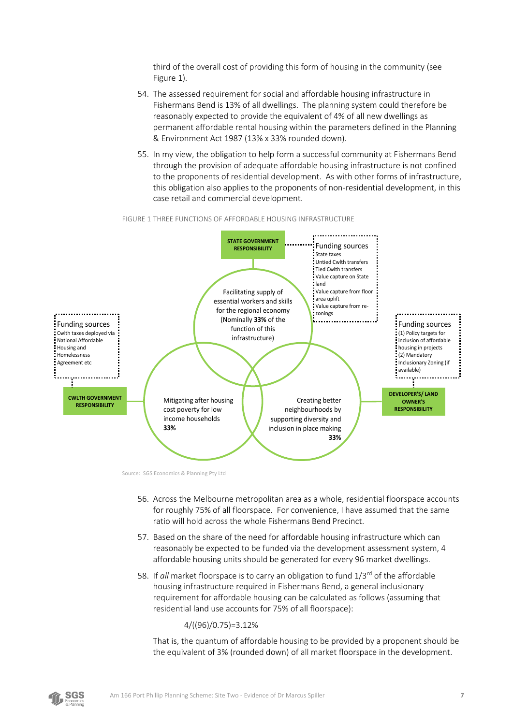third of the overall cost of providing this form of housing in the community (see [Figure 1\)](#page-9-0).

- 54. The assessed requirement for social and affordable housing infrastructure in Fishermans Bend is 13% of all dwellings. The planning system could therefore be reasonably expected to provide the equivalent of 4% of all new dwellings as permanent affordable rental housing within the parameters defined in the Planning & Environment Act 1987 (13% x 33% rounded down).
- 55. In my view, the obligation to help form a successful community at Fishermans Bend through the provision of adequate affordable housing infrastructure is not confined to the proponents of residential development. As with other forms of infrastructure, this obligation also applies to the proponents of non-residential development, in this case retail and commercial development.



<span id="page-9-0"></span>FIGURE 1 THREE FUNCTIONS OF AFFORDABLE HOUSING INFRASTRUCTURE

Source: SGS Economics & Planning Pty Ltd

- 56. Across the Melbourne metropolitan area as a whole, residential floorspace accounts for roughly 75% of all floorspace. For convenience, I have assumed that the same ratio will hold across the whole Fishermans Bend Precinct.
- 57. Based on the share of the need for affordable housing infrastructure which can reasonably be expected to be funded via the development assessment system, 4 affordable housing units should be generated for every 96 market dwellings.
- 58. If *all* market floorspace is to carry an obligation to fund 1/3rd of the affordable housing infrastructure required in Fishermans Bend, a general inclusionary requirement for affordable housing can be calculated as follows (assuming that residential land use accounts for 75% of all floorspace):

4/((96)/0.75)=3.12%

That is, the quantum of affordable housing to be provided by a proponent should be the equivalent of 3% (rounded down) of all market floorspace in the development.

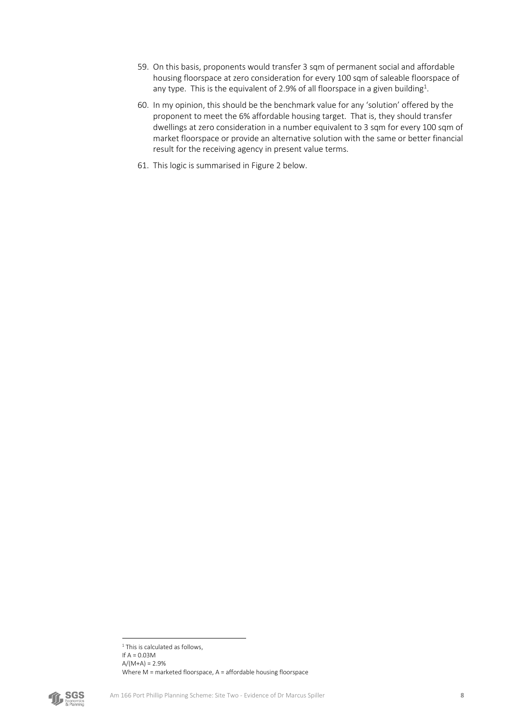- 59. On this basis, proponents would transfer 3 sqm of permanent social and affordable housing floorspace at zero consideration for every 100 sqm of saleable floorspace of any type. This is the equivalent of 2.9% of all floorspace in a given building<sup>1</sup>.
- 60. In my opinion, this should be the benchmark value for any 'solution' offered by the proponent to meet the 6% affordable housing target. That is, they should transfer dwellings at zero consideration in a number equivalent to 3 sqm for every 100 sqm of market floorspace or provide an alternative solution with the same or better financial result for the receiving agency in present value terms.
- 61. This logic is summarised in [Figure 2](#page-11-0) below.

<sup>&</sup>lt;sup>1</sup> This is calculated as follows, If  $A = 0.03M$  $A/(M+A) = 2.9%$ Where M = marketed floorspace, A = affordable housing floorspace

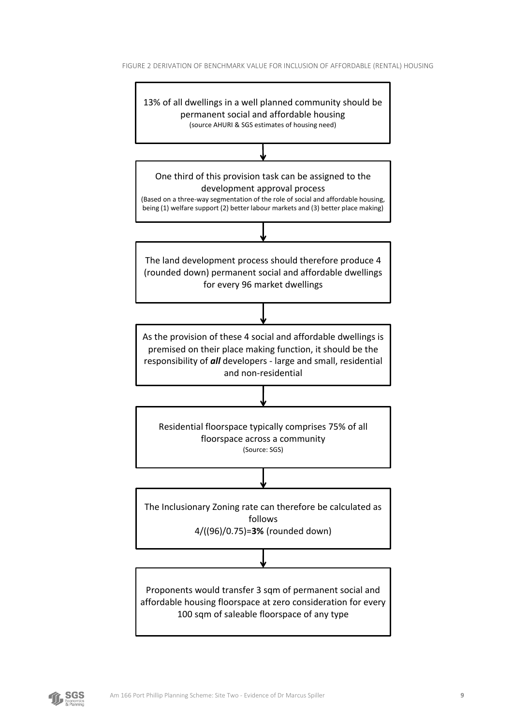<span id="page-11-0"></span>



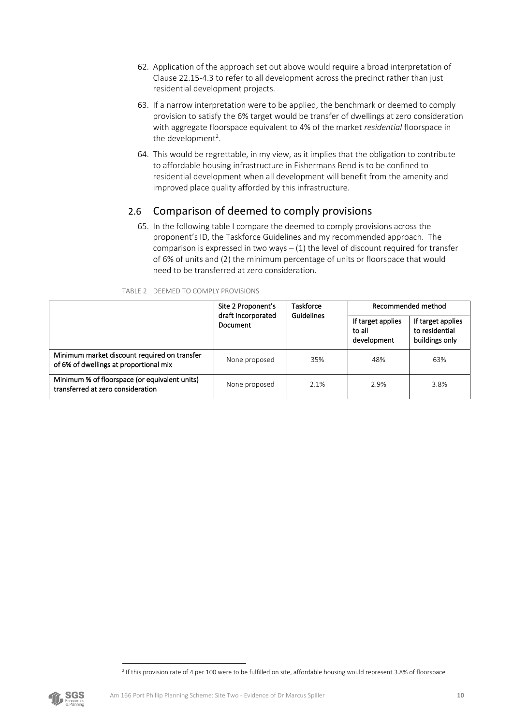- 62. Application of the approach set out above would require a broad interpretation of Clause 22.15-4.3 to refer to all development across the precinct rather than just residential development projects.
- 63. If a narrow interpretation were to be applied, the benchmark or deemed to comply provision to satisfy the 6% target would be transfer of dwellings at zero consideration with aggregate floorspace equivalent to 4% of the market *residential* floorspace in the development<sup>2</sup>.
- 64. This would be regrettable, in my view, as it implies that the obligation to contribute to affordable housing infrastructure in Fishermans Bend is to be confined to residential development when all development will benefit from the amenity and improved place quality afforded by this infrastructure.

## <span id="page-12-0"></span>2.6 Comparison of deemed to comply provisions

65. In the following table I compare the deemed to comply provisions across the proponent's ID, the Taskforce Guidelines and my recommended approach. The comparison is expressed in two ways  $- (1)$  the level of discount required for transfer of 6% of units and (2) the minimum percentage of units or floorspace that would need to be transferred at zero consideration.

|                                                                                        | Site 2 Proponent's             | <b>Taskforce</b>  |                                            | Recommended method                                    |
|----------------------------------------------------------------------------------------|--------------------------------|-------------------|--------------------------------------------|-------------------------------------------------------|
|                                                                                        | draft Incorporated<br>Document | <b>Guidelines</b> | If target applies<br>to all<br>development | If target applies<br>to residential<br>buildings only |
| Minimum market discount required on transfer<br>of 6% of dwellings at proportional mix | None proposed                  | 35%               | 48%                                        | 63%                                                   |
| Minimum % of floorspace (or equivalent units)<br>transferred at zero consideration     | None proposed                  | 2.1%              | 2.9%                                       | 3.8%                                                  |

<span id="page-12-1"></span>

|  | TABLE 2 DEEMED TO COMPLY PROVISIONS |
|--|-------------------------------------|



<sup>2</sup> If this provision rate of 4 per 100 were to be fulfilled on site, affordable housing would represent 3.8% of floorspace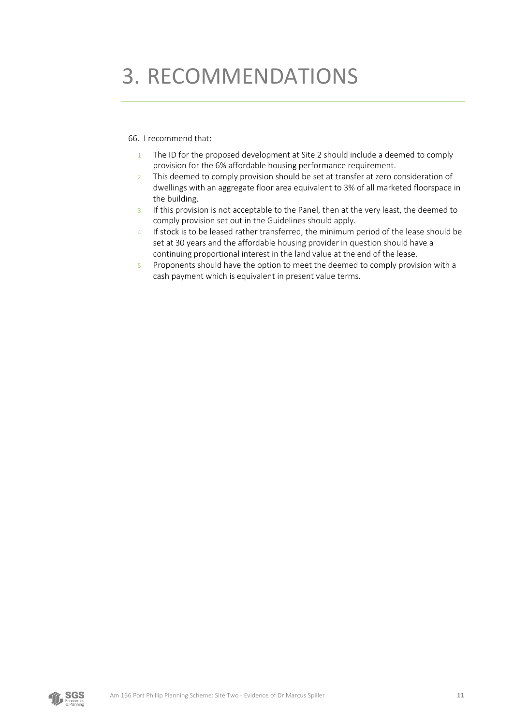# <span id="page-13-0"></span>3. RECOMMENDATIONS

### 66. I recommend that:

- 1. The ID for the proposed development at Site 2 should include a deemed to comply provision for the 6% affordable housing performance requirement.
- 2. This deemed to comply provision should be set at transfer at zero consideration of dwellings with an aggregate floor area equivalent to 3% of all marketed floorspace in the building.
- 3. If this provision is not acceptable to the Panel, then at the very least, the deemed to comply provision set out in the Guidelines should apply.
- 4. If stock is to be leased rather transferred, the minimum period of the lease should be set at 30 years and the affordable housing provider in question should have a continuing proportional interest in the land value at the end of the lease.
- 5. Proponents should have the option to meet the deemed to comply provision with a cash payment which is equivalent in present value terms.

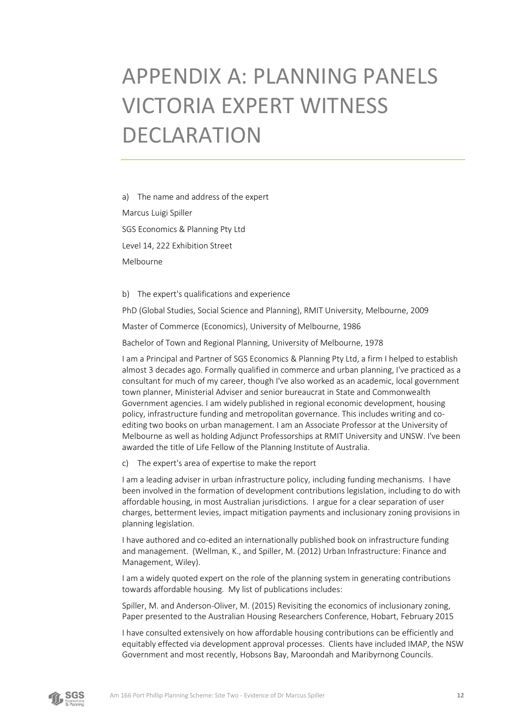# <span id="page-14-0"></span>APPENDIX A: PLANNING PANELS VICTORIA EXPERT WITNESS DECLARATION

a) The name and address of the expert Marcus Luigi Spiller SGS Economics & Planning Pty Ltd Level 14, 222 Exhibition Street Melbourne

b) The expert's qualifications and experience

PhD (Global Studies, Social Science and Planning), RMIT University, Melbourne, 2009

Master of Commerce (Economics), University of Melbourne, 1986

Bachelor of Town and Regional Planning, University of Melbourne, 1978

I am a Principal and Partner of SGS Economics & Planning Pty Ltd, a firm I helped to establish almost 3 decades ago. Formally qualified in commerce and urban planning, I've practiced as a consultant for much of my career, though I've also worked as an academic, local government town planner, Ministerial Adviser and senior bureaucrat in State and Commonwealth Government agencies. I am widely published in regional economic development, housing policy, infrastructure funding and metropolitan governance. This includes writing and coediting two books on urban management. I am an Associate Professor at the University of Melbourne as well as holding Adjunct Professorships at RMIT University and UNSW. I've been awarded the title of Life Fellow of the Planning Institute of Australia.

c) The expert's area of expertise to make the report

I am a leading adviser in urban infrastructure policy, including funding mechanisms. I have been involved in the formation of development contributions legislation, including to do with affordable housing, in most Australian jurisdictions. I argue for a clear separation of user charges, betterment levies, impact mitigation payments and inclusionary zoning provisions in planning legislation.

I have authored and co-edited an internationally published book on infrastructure funding and management. (Wellman, K., and Spiller, M. (2012) Urban Infrastructure: Finance and Management, Wiley).

I am a widely quoted expert on the role of the planning system in generating contributions towards affordable housing. My list of publications includes:

Spiller, M. and Anderson-Oliver, M. (2015) Revisiting the economics of inclusionary zoning, Paper presented to the Australian Housing Researchers Conference, Hobart, February 2015

I have consulted extensively on how affordable housing contributions can be efficiently and equitably effected via development approval processes. Clients have included IMAP, the NSW Government and most recently, Hobsons Bay, Maroondah and Maribyrnong Councils.

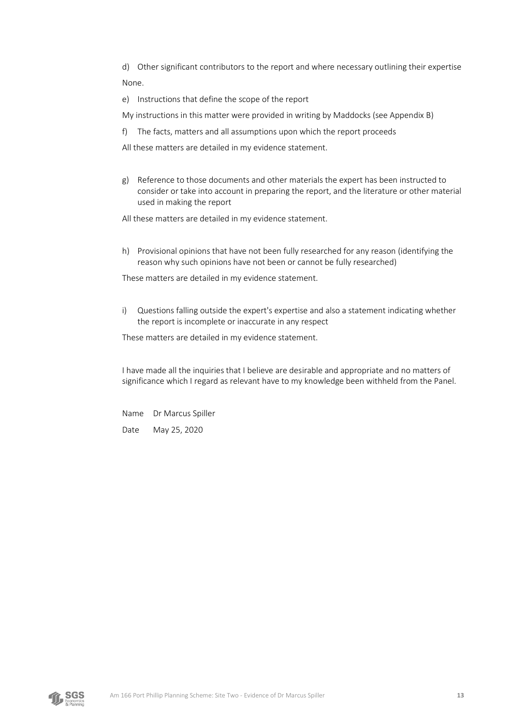d) Other significant contributors to the report and where necessary outlining their expertise None.

- e) Instructions that define the scope of the report
- My instructions in this matter were provided in writing by Maddocks (see Appendix B)
- f) The facts, matters and all assumptions upon which the report proceeds
- All these matters are detailed in my evidence statement.
- g) Reference to those documents and other materials the expert has been instructed to consider or take into account in preparing the report, and the literature or other material used in making the report
- All these matters are detailed in my evidence statement.
- h) Provisional opinions that have not been fully researched for any reason (identifying the reason why such opinions have not been or cannot be fully researched)

These matters are detailed in my evidence statement.

i) Questions falling outside the expert's expertise and also a statement indicating whether the report is incomplete or inaccurate in any respect

These matters are detailed in my evidence statement.

I have made all the inquiries that I believe are desirable and appropriate and no matters of significance which I regard as relevant have to my knowledge been withheld from the Panel.

Name Dr Marcus Spiller Date May 25, 2020

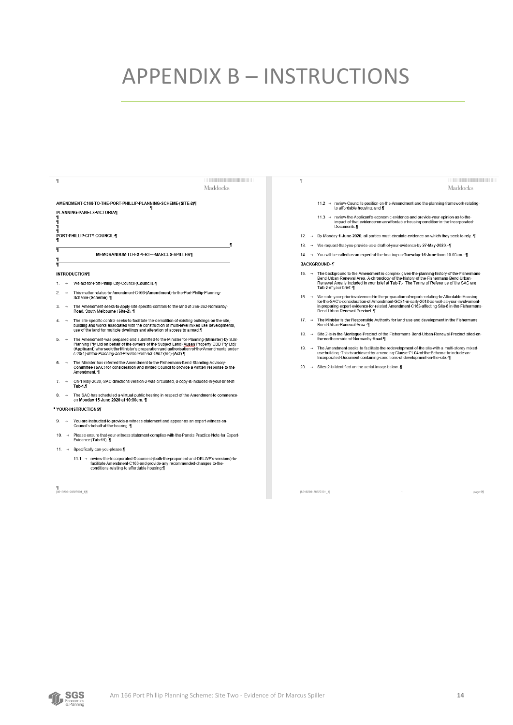## <span id="page-16-0"></span>**APPENDIX B - INSTRUCTIONS**

 $\mathbf{I}$ 

Maddocks

| ſ<br>f<br>ſ<br>ſ<br>T |                  | AMENDMENT C166-TO THE PORT PHILLIP PLANNING SCHEME (SITE 2) 1<br>PLANNING-PANELS-VICTORIA¶<br>PORT-PHILLIP-CITY-COUNCIL-                                                                                                                                                                                                                           |
|-----------------------|------------------|----------------------------------------------------------------------------------------------------------------------------------------------------------------------------------------------------------------------------------------------------------------------------------------------------------------------------------------------------|
| π                     |                  | ¶<br>MEMORANDUM-TO-EXPERT---MARCUS-SPILLERT                                                                                                                                                                                                                                                                                                        |
| ſ<br>₹                |                  |                                                                                                                                                                                                                                                                                                                                                    |
|                       |                  | <b>INTRODUCTIONS</b>                                                                                                                                                                                                                                                                                                                               |
| $1 \rightarrow$       |                  | We act for Port Phillip City Council (Council). 1                                                                                                                                                                                                                                                                                                  |
|                       | 2. $\rightarrow$ | This matter relates to Amendment C166 (Amendment) to the Port Phillip Planning<br>Scheme (Scheme). 1                                                                                                                                                                                                                                               |
| $3. \rightarrow$      |                  | The Amendment seeks to apply site specific controls to the land at 256-262 Normanby<br>Road. South Melbourne (Site 2). IT                                                                                                                                                                                                                          |
| 4.                    | $\rightarrow$    | The site specific control seeks to facilitate the demolition of existing buildings on the site.<br>building and works associated with the construction of multi-level mixed use developments.<br>use of the land for multiple dwellings and alteration of access to a road. If                                                                     |
| 5.                    | $\rightarrow$    | The Amendment was prepared and submitted to the Minister for Planning (Minister) by SJB<br>Planning Pty Ltd on behalf of the owners of the Subject Land (Ausan Property CBD Pty Ltd)<br>(Applicant) who seek the Minister's preparation and authorisation of the Amendments under<br>s 20(4) of the Planning and Environment Act 1987 (Vic) (Act). |
| 6.                    | $\rightarrow$    | The Minister has referred the Amendment to the Fishermans Bend Standing Advisory<br>Committee (SAC) for consideration and invited Council to provide a written response to the<br>Amendment. IT                                                                                                                                                    |
| 7.                    | $\rightarrow$    | On 1 May 2020. SAC directions version 2 was circulated, a copy is included in your brief at<br>Tab-1.                                                                                                                                                                                                                                              |
| 8.                    | $\rightarrow$    | The SAC has scheduled a virtual public hearing in respect of the Amendment to commence<br>on Monday 15 June 2020 at 10:00am. 1                                                                                                                                                                                                                     |
|                       |                  | YOUR-INSTRUCTIONS                                                                                                                                                                                                                                                                                                                                  |
| 9.                    | $\rightarrow$    | You are instructed to provide a witness statement and appear as an expert witness on<br>Council's behalf at the hearing. IT                                                                                                                                                                                                                        |
|                       |                  | 10. → Please ensure that your witness statement complies with the Panels Practice Note for Expert<br>Evidence (Tab-11). \[                                                                                                                                                                                                                         |
|                       |                  | 11. → Specifically can you please: []                                                                                                                                                                                                                                                                                                              |
|                       |                  | 11.1 → review the Incorporated Document (both the proponent and DELWP's versions) to<br>facilitate Amendment C166 and provide any recommended changes to the<br>conditions relating to affordable housing.                                                                                                                                         |

¶<br>|8016200: 26627001\_1∭

×

- Maddocks
- 11.2 -> review-Council's position on the Amendment and the planning framework relating<br>to affordable housing; and ¶
- $11.3 \rightarrow$  review the Applicant's economic evidence and provide your opinion as to the<br>impact of that evidence on an affordable housing condition in the incorporated<br>Documents.¶
- 12. → By Monday 1 June 2020, all parties must circulate evidence on which they seek to rely. 1
- 13 → We-request-that-you-provide-us-a-draft-of-your-evidence-by-27-May-2020 ·· ¶
- 14. → You will be called as an expert at the hearing on Tuesday 16 June from 10:00am. [1] **BACKGROUND-1** 
	-
- 15. → The background to the Amendment is complex given the planning history of the Fishermans<br>Bend Urban Renewal Area. A chronology of the history of the Fishermans Bend Urban<br>Renewal Area is included in your brief at Tab
- 16. → We note your prior involvement in the preparation of reports relating to Affordable Housing<br>for the SAC's consideration of Amendment GC81 in early 2018 as well as your involvement<br>in preparing expert evidence for re
- 17. → The Minister is the Responsible Authority for land use and development in the Fishermans<br>Bend Urban Renewal Area. ¶
- 18. → Site 2 is in the Montague Precinct of the Fishermans Bend Urban Renewal Precinct sited on-<br>the northern side of Normanby Road,¶
- → The Amendment seeks to facilitate the redevelopment of the site with a multi-storey mixed<br>- use building. This is achieved by amending Clause 71.04 of the Scheme to include an<br>- Incorporated Document containing conditio  $19.$

 $\rightarrow$ 

20. → Sites 2 is identified on the aerial image below. 1

(8016200: 26627001 1)

page-2f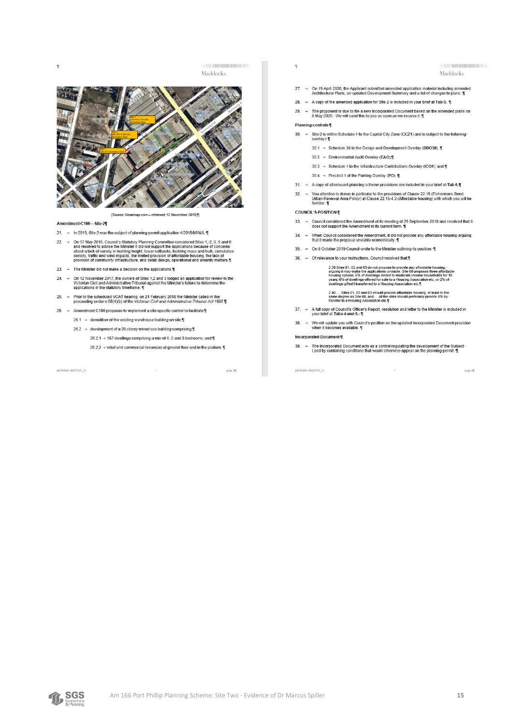Ÿ

Maddocks



- Amendment-C166-Site-21
- 21. → In-2015, Site-2 was the subject of planning permit application 4/2015/MIN/A.
- 22. → On-17 May 2016, Council's Statutory Planning Committee considered Sites 1, 2, 3, 5 and 6<br>and resolved to advise the Minister it did not support the applications because of concerns-<br>about a lack of variety in build
- 23. → The Minister did not make a decision on the applications. $\P$
- 24.  $\rightarrow$  On-12-November 2017, the owners of Sites-1,2 and 3-lodged an application for review in the Victorian Civil and Administrative Tribunal against the Minister's failure to determine the applications in the statutory
- 25. > Prior to the scheduled VCAT hearing, on 21 February 2018 the Minister called in the proceeding under s 58(4)(b) of the Victorian Civil and Administrative Tribunal Act 1998.
- 26. → Amendment C166 proposes to implement a site specific control to facilitate.¶
	- $26.1 \rightarrow$  demolition of the existing warehouse building on site fi-
	- 26.2 → development of a 20-storey mixed use building comprising.¶
		- 26.2.1 → 157 dwellings comprising a mix of 1, 2 and 3 bedrooms; and ¶

26.2.2 -> retail and commercial tenancies at ground floor and in the podium.

 $\Xi$ 

[8016200: 26627001\_1]

page 31

- Maddocks
- 27. -> On-15-April-2020, the Applicant submitted amended application material including amended<br>Architectural-Plans: an-updated-Development Summary and a list of changes to plans. 1
- 28. → A copy of the amended application for Site 2 is included in your brief at Tab-3.
- The proponent is due to file a new Incorporated Document based on the amended plans on<br>8 May 2020. . We will send this to you as soon as we receive it. ¶  $29. \rightarrow$

#### Planning-controls-

- 30. → Site 2 is within Schedule 1 to the Capital City Zone (CCZ1) and is subject to the following overlays:
	- 30.1 → Schedule 30 to the Design and Development Overlay (DDO30); 1
	- 30.2 → Environmental Audit Overlay (EAO),¶
	- 30.3 → Schedule 1 to the Infrastructure Contributions Overlay (ICO1); and 1
	- 30.4 → Precinct 1 of the Parking Overlay (PO). 1
- $31. \rightarrow$  A copy of all relevant planning scheme provisions are included in your brief at Tab 6.
- 32.  $\rightarrow$  You attention is drawn in particular to the provisions of Clause 22.15-(Fishermans Bend-<br>Urban-Renewal-Area Policy) at Clause 22.15-4.3 (Affordable housing) with which you will be<br>familiar. 1

#### COUNCIL'S-POSITION-

- 33. 
ightharpoont detect the Amendment at its meeting of 25 September 2019 and resolved that it does not support the Amendment in its current form.
- 34. → When-Council-considered-the-Amendment,-it-did-not-provide-any-affordable-housing-arguing-<br>that-it-made-the-proposal-unviable-economically.¶
- 35. → On-8-October-2019-Council-wrote-to-the-Minister-outlining-its-position. -
- 36. → Of relevance to your instructions, Council resolved that ¶

2.39.Sites 01, 02 and 03 do not propose to provide any affordable housing,<br>arguing it may make the applications unviable. Site 06 proposes three affordable<br>housing options, 6% of dwellings rented to moderate income househo

2.40..... Sites 01, 02 and 03 should provide affordable housing, at least to the<br>same degree as Site 06, and .... all the sites should preferably provide 6% by<br>transfer to a Housing Association etc.¶

- 37. → A full-copy of Council's Officer's Report, resolution and letter to the Minister is included in-<br>your brief at Tabs 4 and 5. ¶
- 38. → We will update you with Council's position on the updated Incorporated Document provision-<br>when it becomes available. ¶

#### Incorporated Document 1

39. → The Incorporated Document acts as a control regulating the development of the Subject<br>Land by containing conditions that would otherwise appear on the planning permit. [

 $\frac{1}{\sqrt{2}}$ 

[8016200: 26627001\_1]

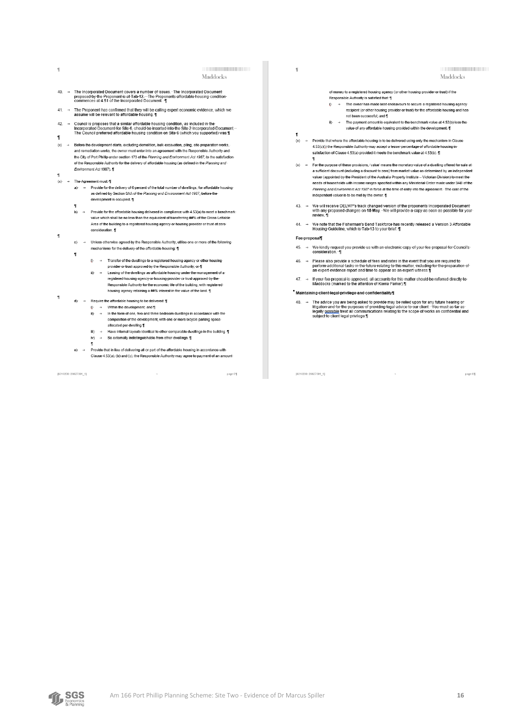$\eta$ 

Maddocks

- → The Incorporated Document covers a number of issues. The Incorporated Document<br>proposed by the Proponent is at Tab 12.…The Proponents affordable housing condition<br>commences at 4.51 of the Incorporated Document. ¶  $\overline{40}$
- The Proponent has confirmed that they will be calling expert economic evidence, which we<br>assume will be relevant to affordable housing. ¶ 41.  $\rightarrow$
- Council is proposes that a similar affordable housing condition, as included in the<br>Incorporated:Document for Site 6, should be inserted into the Site 2 Incorporated:Document<br>The Council: preferred affordable housing condi  $42$ ×
- $(x)$  $\Delta$ Before-the-development-starts,-excluding-demolition,-bulk-excavation,-piling,-site-preparation-works,-<br>and-remediation-works, the-owner-must-enter-into-an-agreement-with-the-Responsible-Authority-andthe City of Port-Phillip under section 173 of the Planning and Environment Act 1987, to the satisfaction<br>of the Responsible Authority for the delivery of affordable housing (as defined in the Planning and -<br>of the Responsi Environment Act 1987). 1
- 

÷.

- > The Agreement must 1
	- a) → Provide-for-the-delivery-of-6-percent-of-the-total-number-of-dwellings -for-affordable-housingas defined by Section 3AA of the Planning and Environment Act 1987, before the development-is-occupied. 1
	- b) → Provide-for-the-affordable-housing-delivered-in-compliance-with-4.53(a)-to-meet-a-benchmarkvalue which shall be no less than the equivalent of transferring ##% of the Gross-Lettable Area-of-the-building-to-a-registered-housing-agency-or-housing-provider-or-trust-at-zeroconsideration. 1
	- Unless-otherwise-agreed-by-the-Responsible-Authority, utilise-one-or-more-of-the-following $c)$ mechanisms for the delivery of the affordable housing.
		- $i$ )  $\rightarrow$  Transfer-of-the-dwellings-to-a-registered-housing-agency-or-other-housing
			- provider or trust approved by the Responsible Authority, or ¶
			- ii)  $\rightarrow$  Leasing-of-the-dwellings-as-affordable-housing-under-the-management-<br>registered-housing-agency-or-housing-provider-or-trust-approved-by-thement.of.a Responsible Authority for the economic life of the building, with registered<br>housing agency retaining a ##% interest in the value of the land. T
- $d$ )  $\rightarrow$  Require the affordable housing to be delivered. T
	- $\rightarrow$  Within the development, and  $\P$  $\mathbf{0}$  $ii$ )  $\rightarrow$  In the form of one, two and three bedroom dwellings in accordance with the
	- composition of the development, with one or more bicycle parking space allocated-per-dwelling.¶
	- Have-internal-layouts-identical-to-other-comparable-dwellings-in-the-building.  $iv$   $\rightarrow$  Be externally indistinguishable from other dwellings. T
	-
	- Provide-that-in-lieu-of-delivering-all-or-part-of-the-affordable-housing-in-accordance-with  $e) \rightarrow$ Clause 4.53(a), (b) and (c), the Responsible Authority may agree to payment of an amount

 $\rightarrow$ 

[8016200: 26627001\_1]

page 6

 $\overline{\mathbb{1}}$ 

Maddocks

page 6f

of money to a registered housing agency (or other housing provider or trust) if the

Responsible Authority is satisfied that 1

- → The owner has made best endeavours to secure a registered housing agency recipient (or other housing provider or trust) for the affordable housing and has not been successful; and \[
- $\ddot{m}$  The payment amount is equivalent to the benchmark value at 4.53(b) less the value-of-any-affordable-housing-provided-within-the-development.
- $(x) \rightarrow$ Provide-that-where-the-affordable-housing-is-to-be-delivered-using-only-the-mechanism-in-Clause 4.53(c)(i)-the-Responsible-Authority-may-accept-a-lesser-percentage-of-affordable-housing-insatisfaction of Clause 4.53(a) provided it meets the benchmark value at 4.53(b).
- (x) > For the purpose of these provisions, 'value' means the monetary value of a dwelling offered for sale at a sufficient discount (including a discount to zero) from market value as determined by an independent<br>valuer (appointed by the President of the Australia Property Institute -- Victorian Division) to meet the needs of households with income ranges specified within any Ministerial Order made under 3AB of the<br>Planning and Environment Act 1987 in force at the time of entry into the agreement. "The cost of the independent valuer is to be met by the owner. [
- 43. → We will receive DELWP's track changed version of the proponents Incorporated Document<br>with any proposed changes on 18 May. We will provide a copy as soon as possible for your<br>review. ¶
- We note that the Fisherman's Bend-Taskforce has recently released a Version 3 Affordable<br>Housing Guideline, which is Tab-13 to your brief. ¶  $44 \rightarrow$

#### Fee-proposal¶

- We kindly request you provide us with an electronic copy of your fee proposal for Council's 45.  $\rightarrow$
- > Please also provide a schedule of fees and rates in the event that you are required to<br>perform additional tasks in the future relating to this matter, including for the preparation of<br>an expert evidence report and time t  $46$
- 47. → If your fee proposal is approved, all accounts for this matter should be referred directly to<br>Maddocks (marked to the attention of Kierra Parker).¶

" Maintaining-client-legal-privilege-and-confidentiality

48. → The advice you are being asked to provide may be relied upon for any future hearing or<br>litigation and for the purposes of providing legal advice to our client. You must as far as:<br>legally <u>possible</u> treat all commun

 $\rightarrow$ 

[8016200: 26627001\_1]

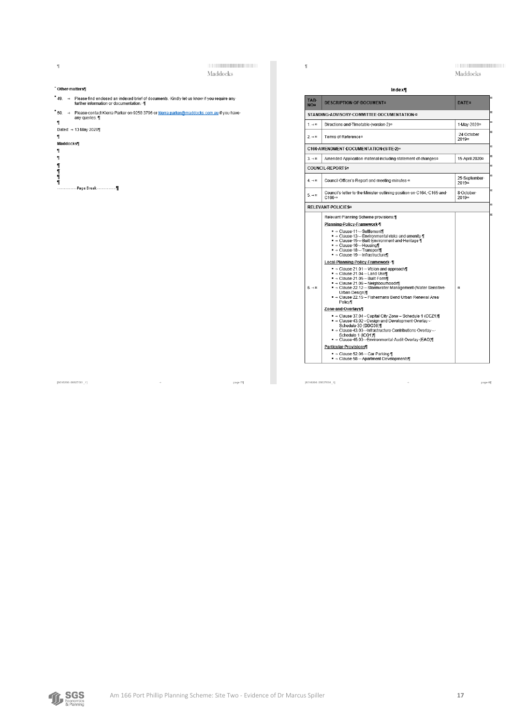$\mathbf{r}$ 

Maddocks

 $\mathbf{f}$ 

Maddocks

### <sup>-</sup> Other-matters¶

## $49. \rightarrow$  Please find enclosed an indexed brief of documents. Kindly let us know if you require any further information or documentation.  $\P$

50. → Please contact Kierra Parker on 9258 3796 or kierra parker@maddocks.com.au if you have any queries. 1  $\mathbf{q}$ 

 $\sim$ 

#### "<br>Dated: → 13·May·2020¶

#### $\mathbf{I}$ "<br>Maddocks¶



| Index¶                  |                                                                                                                                                                                                                                                                                                                                                                                                                                                                                                                                                                                                                                                                                                                                                                                                                                                                                                                       |                                   |  |
|-------------------------|-----------------------------------------------------------------------------------------------------------------------------------------------------------------------------------------------------------------------------------------------------------------------------------------------------------------------------------------------------------------------------------------------------------------------------------------------------------------------------------------------------------------------------------------------------------------------------------------------------------------------------------------------------------------------------------------------------------------------------------------------------------------------------------------------------------------------------------------------------------------------------------------------------------------------|-----------------------------------|--|
| TAB-<br><b>NO¤</b>      | <b>DESCRIPTION OF DOCUMENT¤</b>                                                                                                                                                                                                                                                                                                                                                                                                                                                                                                                                                                                                                                                                                                                                                                                                                                                                                       | <b>DATE</b> <sup>#</sup>          |  |
|                         | STANDING ADVISORY COMMITTEE DOCUMENTATION #                                                                                                                                                                                                                                                                                                                                                                                                                                                                                                                                                                                                                                                                                                                                                                                                                                                                           |                                   |  |
| $1. \rightarrow \infty$ | Directions-and-Timetable-(version-2)a                                                                                                                                                                                                                                                                                                                                                                                                                                                                                                                                                                                                                                                                                                                                                                                                                                                                                 | 1 May 2020a                       |  |
| $2 \rightarrow \alpha$  | Terms of References                                                                                                                                                                                                                                                                                                                                                                                                                                                                                                                                                                                                                                                                                                                                                                                                                                                                                                   | -24-October-<br>2019 <sub>¤</sub> |  |
|                         | C166 AMENDMENT DOCUMENTATION (SITE 2)¤                                                                                                                                                                                                                                                                                                                                                                                                                                                                                                                                                                                                                                                                                                                                                                                                                                                                                |                                   |  |
| $3. \rightarrow \infty$ | Amended Application material including statement of changes <sup>12</sup>                                                                                                                                                                                                                                                                                                                                                                                                                                                                                                                                                                                                                                                                                                                                                                                                                                             | 15 April 2020a                    |  |
|                         | <b>COUNCIL-REPORTS#</b>                                                                                                                                                                                                                                                                                                                                                                                                                                                                                                                                                                                                                                                                                                                                                                                                                                                                                               |                                   |  |
| $4 \rightarrow \infty$  | Council Officer's Report and meeting minutes a                                                                                                                                                                                                                                                                                                                                                                                                                                                                                                                                                                                                                                                                                                                                                                                                                                                                        | 25-September-<br>2019a            |  |
| $5. \rightarrow \infty$ | Council's letter to the Minister outlining position on C164, C165 and<br>C166 <sup>o</sup>                                                                                                                                                                                                                                                                                                                                                                                                                                                                                                                                                                                                                                                                                                                                                                                                                            | 8 October<br>2019a                |  |
|                         | <b>RELEVANT-POLICIES¤</b>                                                                                                                                                                                                                                                                                                                                                                                                                                                                                                                                                                                                                                                                                                                                                                                                                                                                                             |                                   |  |
| $6 \rightarrow \infty$  | Planning-Policy-Framework-<br>■ → Clause 11 - Settlement¶<br>■ → Clause 13 - Environmental risks and amenity 1<br>■ → Clause 15 - Built Environment and Heritage ¶<br>■ → Clause 16 - Housing¶<br>■ → Clause 18 - Transport<br>■ → Clause 19 - Infrastructure¶<br>Local Planning Policy Framework 1<br>■ → Clause 21.01 - Vision and approach¶<br>■ → Clause 21.04 - Land Use¶<br>■ → Clause 21.05 - Built Form¶<br>■ → Clause-21.06 - Neighbourhoods¶<br>■ → Clause 22.12 - Stormwater Management (Water Sensitive<br>Urban-Design)¶<br>■ → Clause 22.15 - Fishermans Bend Urban Renewal Area<br>Policy<br>Zone-and-Overlavs¶<br>■ → Clause 37.04 - Capital City Zone - Schedule 1 (CCZ1)<br>■ → Clause 43.02 - Design and Development Overlay -<br>Schedule 30 (DDO30)<br>■ → Clause-43.03 -- Infrastructure-Contributions-Overlay --<br>Schedule 1 (ICO1)<br>■ → Clause 45.03 - Environmental Audit Overlay (EAO)¶ | $\mathbf{r}$                      |  |
|                         | Particular-Provisions¶<br>■ → Clause 52.06 - Car Parking 1<br>■ → Clause 58 - Apartment Developments¶                                                                                                                                                                                                                                                                                                                                                                                                                                                                                                                                                                                                                                                                                                                                                                                                                 |                                   |  |

 $\sim$ 

#### $[8016200:26627001\_1]$

page 7¶

 $[8016200;\overline{26627001}\_1]$ 

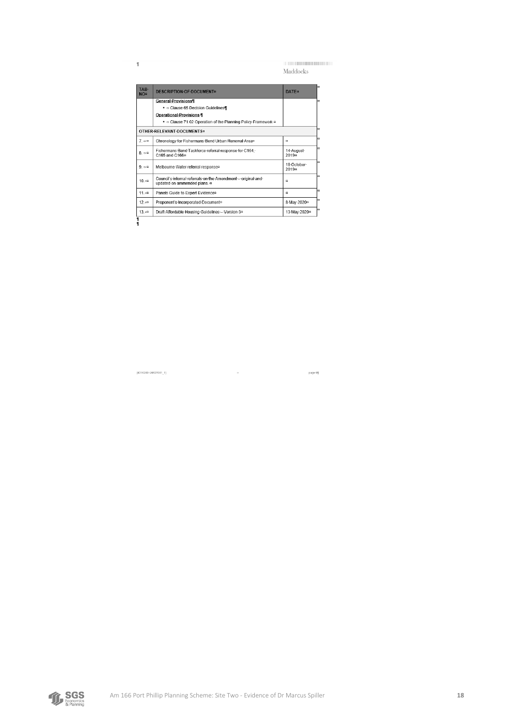page 9¶

Maddocks

| TAB-<br>NO¤             | DESCRIPTION OF DOCUMENT¤                                                                     | <b>DATF#</b>                     |
|-------------------------|----------------------------------------------------------------------------------------------|----------------------------------|
|                         | General-Provisions¶                                                                          |                                  |
|                         | ■ → Clause 65 Decision Guidelines II                                                         |                                  |
|                         | Operational-Provisions-                                                                      |                                  |
|                         | ■ → Clause 71.02 Operation of the Planning Policy Framework =                                |                                  |
|                         | OTHER RELEVANT DOCUMENTS¤                                                                    |                                  |
| $7 \rightarrow \infty$  | Chronology for Fishermans Bend Urban Renewal Area <sup>a</sup>                               | $\mathbf{r}$                     |
| $8 \rightarrow \infty$  | Fishermans-Bend-Taskforce-referral-response-for-C164,-<br>C165-and-C166¤                     | 14-August-<br>2019 <sub>0</sub>  |
| $9. \rightarrow \infty$ | Melbourne Water referral response¤                                                           | 18-October-<br>2019 <sub>π</sub> |
| 10.40                   | Council's internal referrals on the Amendment - original and<br>updated on ammended plans. a | $\alpha$                         |
| $11 + x$                | Panels-Guide-to-Expert-Evidence¤                                                             | $\mathbf{r}$                     |
| $12 \div a$             | Proponent's Incorporated Document <sup>o</sup>                                               | 8 May 2020 <sup>a</sup>          |
|                         |                                                                                              | 13-May-2020 <sup>xx</sup>        |

 $\sim$ 

[8016200: 26627001\_1]

 $\overline{\mathbb{L}}$